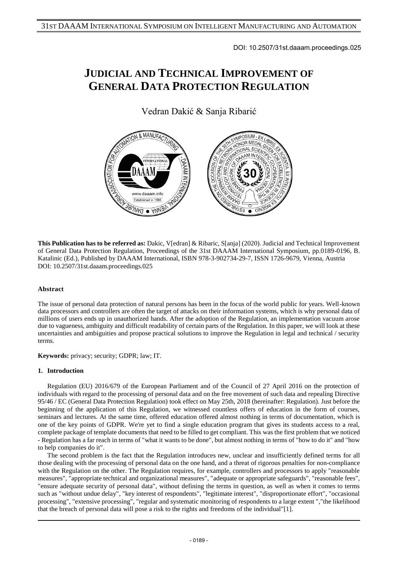DOI: 10.2507/31st.daaam.proceedings.025

# **JUDICIAL AND TECHNICAL IMPROVEMENT OF GENERAL DATA PROTECTION REGULATION**

Vedran Dakić & Sanja Ribarić



**This Publication has to be referred as:** Dakic, V[edran] & Ribaric, S[anja] (2020). Judicial and Technical Improvement of General Data Protection Regulation, Proceedings of the 31st DAAAM International Symposium, pp.0189-0196, B. Katalinic (Ed.), Published by DAAAM International, ISBN 978-3-902734-29-7, ISSN 1726-9679, Vienna, Austria DOI: 10.2507/31st.daaam.proceedings.025

## **Abstract**

The issue of personal data protection of natural persons has been in the focus of the world public for years. Well-known data processors and controllers are often the target of attacks on their information systems, which is why personal data of millions of users ends up in unauthorized hands. After the adoption of the Regulation, an implementation vacuum arose due to vagueness, ambiguity and difficult readability of certain parts of the Regulation. In this paper, we will look at these uncertainties and ambiguities and propose practical solutions to improve the Regulation in legal and technical / security terms.

**Keywords:** privacy; security; GDPR; law; IT.

## **1. Introduction**

Regulation (EU) 2016/679 of the European Parliament and of the Council of 27 April 2016 on the protection of individuals with regard to the processing of personal data and on the free movement of such data and repealing Directive 95/46 / EC (General Data Protection Regulation) took effect on May 25th, 2018 (hereinafter: Regulation). Just before the beginning of the application of this Regulation, we witnessed countless offers of education in the form of courses, seminars and lectures. At the same time, offered education offered almost nothing in terms of documentation, which is one of the key points of GDPR. We're yet to find a single education program that gives its students access to a real, complete package of template documents that need to be filled to get compliant. This was the first problem that we noticed - Regulation has a far reach in terms of "what it wants to be done", but almost nothing in terms of "how to do it" and "how to help companies do it".

The second problem is the fact that the Regulation introduces new, unclear and insufficiently defined terms for all those dealing with the processing of personal data on the one hand, and a threat of rigorous penalties for non-compliance with the Regulation on the other. The Regulation requires, for example, controllers and processors to apply "reasonable measures", "appropriate technical and organizational measures", "adequate or appropriate safeguards", "reasonable fees", "ensure adequate security of personal data", without defining the terms in question, as well as when it comes to terms such as "without undue delay", "key interest of respondents", "legitimate interest", "disproportionate effort", "occasional processing", "extensive processing", "regular and systematic monitoring of respondents to a large extent ","the likelihood that the breach of personal data will pose a risk to the rights and freedoms of the individual"[1].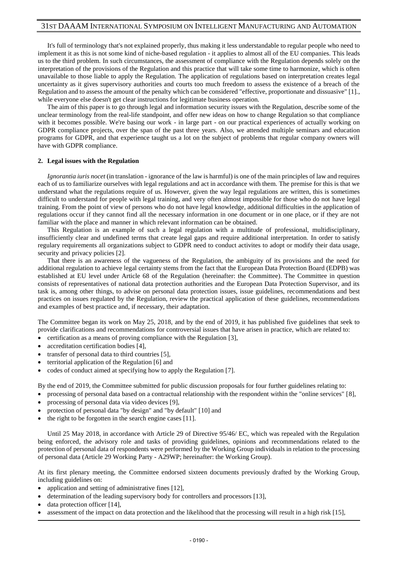It's full of terminology that's not explained properly, thus making it less understandable to regular people who need to implement it as this is not some kind of niche-based regulation - it applies to almost all of the EU companies. This leads us to the third problem. In such circumstances, the assessment of compliance with the Regulation depends solely on the interpretation of the provisions of the Regulation and this practice that will take some time to harmonize, which is often unavailable to those liable to apply the Regulation. The application of regulations based on interpretation creates legal uncertainty as it gives supervisory authorities and courts too much freedom to assess the existence of a breach of the Regulation and to assess the amount of the penalty which can be considered "effective, proportionate and dissuasive" [1]., while everyone else doesn't get clear instructions for legitimate business operation.

The aim of this paper is to go through legal and information security issues with the Regulation, describe some of the unclear terminology from the real-life standpoint, and offer new ideas on how to change Regulation so that compliance with it becomes possible. We're basing our work - in large part - on our practical experiences of actually working on GDPR compliance projects, over the span of the past three years. Also, we attended multiple seminars and education programs for GDPR, and that experience taught us a lot on the subject of problems that regular company owners will have with GDPR compliance.

#### **2. Legal issues with the Regulation**

*Ignorantia iuris nocet* (in translation - ignorance of the law is harmful) is one of the main principles of law and requires each of us to familiarize ourselves with legal regulations and act in accordance with them. The premise for this is that we understand what the regulations require of us. However, given the way legal regulations are written, this is sometimes difficult to understand for people with legal training, and very often almost impossible for those who do not have legal training. From the point of view of persons who do not have legal knowledge, additional difficulties in the application of regulations occur if they cannot find all the necessary information in one document or in one place, or if they are not familiar with the place and manner in which relevant information can be obtained.

This Regulation is an example of such a legal regulation with a multitude of professional, multidisciplinary, insufficiently clear and undefined terms that create legal gaps and require additional interpretation. In order to satisfy regulary requirements all organizations subject to GDPR need to conduct activites to adopt or modify their data usage, security and privacy policies [2].

That there is an awareness of the vagueness of the Regulation, the ambiguity of its provisions and the need for additional regulation to achieve legal certainty stems from the fact that the European Data Protection Board (EDPB) was established at EU level under Article 68 of the Regulation (hereinafter: the Committee). The Committee in question consists of representatives of national data protection authorities and the European Data Protection Supervisor, and its task is, among other things, to advise on personal data protection issues, issue guidelines, recommendations and best practices on issues regulated by the Regulation, review the practical application of these guidelines, recommendations and examples of best practice and, if necessary, their adaptation.

The Committee began its work on May 25, 2018, and by the end of 2019, it has published five guidelines that seek to provide clarifications and recommendations for controversial issues that have arisen in practice, which are related to:

- certification as a means of proving compliance with the Regulation [3],
- accreditation certification bodies [4],
- transfer of personal data to third countries [5],
- territorial application of the Regulation [6] and
- codes of conduct aimed at specifying how to apply the Regulation [7].

By the end of 2019, the Committee submitted for public discussion proposals for four further guidelines relating to:

- processing of personal data based on a contractual relationship with the respondent within the "online services" [8],
- processing of personal data via video devices [9],
- protection of personal data "by design" and "by default" [10] and
- the right to be forgotten in the search engine cases [11].

Until 25 May 2018, in accordance with Article 29 of Directive 95/46/ EC, which was repealed with the Regulation being enforced, the advisory role and tasks of providing guidelines, opinions and recommendations related to the protection of personal data of respondents were performed by the Working Group individuals in relation to the processing of personal data (Article 29 Working Party - A29WP; hereinafter: the Working Group).

At its first plenary meeting, the Committee endorsed sixteen documents previously drafted by the Working Group, including guidelines on:

- application and setting of administrative fines [12],
- determination of the leading supervisory body for controllers and processors [13],
- data protection officer [14],
- assessment of the impact on data protection and the likelihood that the processing will result in a high risk [15],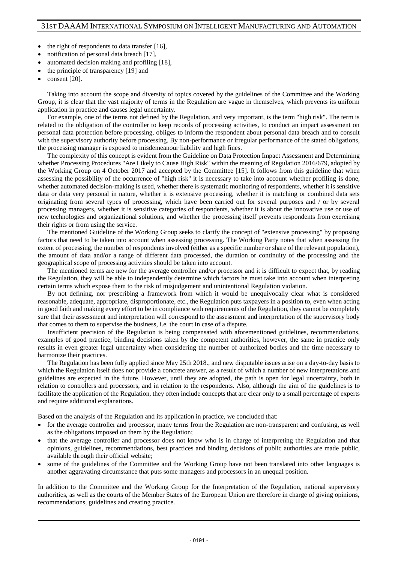- the right of respondents to data transfer [16],
- notification of personal data breach [17],
- automated decision making and profiling [18],
- the principle of transparency [19] and
- consent [20].

Taking into account the scope and diversity of topics covered by the guidelines of the Committee and the Working Group, it is clear that the vast majority of terms in the Regulation are vague in themselves, which prevents its uniform application in practice and causes legal uncertainty.

For example, one of the terms not defined by the Regulation, and very important, is the term "high risk". The term is related to the obligation of the controller to keep records of processing activities, to conduct an impact assessment on personal data protection before processing, obliges to inform the respondent about personal data breach and to consult with the supervisory authority before processing. By non-performance or irregular performance of the stated obligations, the processing manager is exposed to misdemeanour liability and high fines.

The complexity of this concept is evident from the Guideline on Data Protection Impact Assessment and Determining whether Processing Procedures "Are Likely to Cause High Risk" within the meaning of Regulation 2016/679, adopted by the Working Group on 4 October 2017 and accepted by the Committee [15]. It follows from this guideline that when assessing the possibility of the occurrence of "high risk" it is necessary to take into account whether profiling is done, whether automated decision-making is used, whether there is systematic monitoring of respondents, whether it is sensitive data or data very personal in nature, whether it is extensive processing, whether it is matching or combined data sets originating from several types of processing, which have been carried out for several purposes and / or by several processing managers, whether it is sensitive categories of respondents, whether it is about the innovative use or use of new technologies and organizational solutions, and whether the processing itself prevents respondents from exercising their rights or from using the service.

The mentioned Guideline of the Working Group seeks to clarify the concept of "extensive processing" by proposing factors that need to be taken into account when assessing processing. The Working Party notes that when assessing the extent of processing, the number of respondents involved (either as a specific number or share of the relevant population), the amount of data and/or a range of different data processed, the duration or continuity of the processing and the geographical scope of processing activities should be taken into account.

The mentioned terms are new for the average controller and/or processor and it is difficult to expect that, by reading the Regulation, they will be able to independently determine which factors he must take into account when interpreting certain terms which expose them to the risk of misjudgement and unintentional Regulation violation.

By not defining, nor prescribing a framework from which it would be unequivocally clear what is considered reasonable, adequate, appropriate, disproportionate, etc., the Regulation puts taxpayers in a position to, even when acting in good faith and making every effort to be in compliance with requirements of the Regulation, they cannot be completely sure that their assessment and interpretation will correspond to the assessment and interpretation of the supervisory body that comes to them to supervise the business, i.e. the court in case of a dispute.

Insufficient precision of the Regulation is being compensated with aforementioned guidelines, recommendations, examples of good practice, binding decisions taken by the competent authorities, however, the same in practice only results in even greater legal uncertainty when considering the number of authorized bodies and the time necessary to harmonize their practices.

The Regulation has been fully applied since May 25th 2018., and new disputable issues arise on a day-to-day basis to which the Regulation itself does not provide a concrete answer, as a result of which a number of new interpretations and guidelines are expected in the future. However, until they are adopted, the path is open for legal uncertainty, both in relation to controllers and processors, and in relation to the respondents. Also, although the aim of the guidelines is to facilitate the application of the Regulation, they often include concepts that are clear only to a small percentage of experts and require additional explanations.

Based on the analysis of the Regulation and its application in practice, we concluded that:

- for the average controller and processor, many terms from the Regulation are non-transparent and confusing, as well as the obligations imposed on them by the Regulation;
- that the average controller and processor does not know who is in charge of interpreting the Regulation and that opinions, guidelines, recommendations, best practices and binding decisions of public authorities are made public, available through their official website;
- some of the guidelines of the Committee and the Working Group have not been translated into other languages is another aggravating circumstance that puts some managers and processors in an unequal position.

In addition to the Committee and the Working Group for the Interpretation of the Regulation, national supervisory authorities, as well as the courts of the Member States of the European Union are therefore in charge of giving opinions, recommendations, guidelines and creating practice.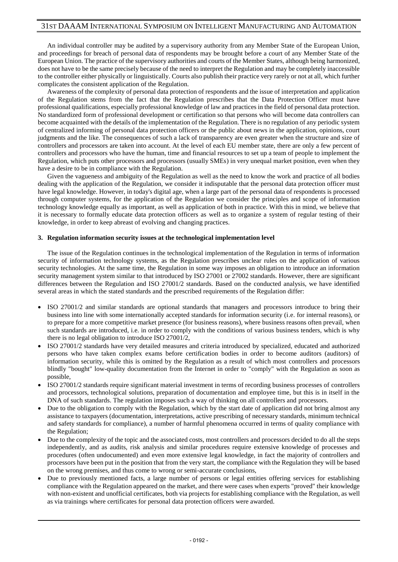An individual controller may be audited by a supervisory authority from any Member State of the European Union, and proceedings for breach of personal data of respondents may be brought before a court of any Member State of the European Union. The practice of the supervisory authorities and courts of the Member States, although being harmonized, does not have to be the same precisely because of the need to interpret the Regulation and may be completely inaccessible to the controller either physically or linguistically. Courts also publish their practice very rarely or not at all, which further complicates the consistent application of the Regulation.

Awareness of the complexity of personal data protection of respondents and the issue of interpretation and application of the Regulation stems from the fact that the Regulation prescribes that the Data Protection Officer must have professional qualifications, especially professional knowledge of law and practices in the field of personal data protection. No standardized form of professional development or certification so that persons who will become data controllers can become acquainted with the details of the implementation of the Regulation. There is no regulation of any periodic system of centralized informing of personal data protection officers or the public about news in the application, opinions, court judgments and the like. The consequences of such a lack of transparency are even greater when the structure and size of controllers and processors are taken into account. At the level of each EU member state, there are only a few percent of controllers and processors who have the human, time and financial resources to set up a team of people to implement the Regulation, which puts other processors and processors (usually SMEs) in very unequal market position, even when they have a desire to be in compliance with the Regulation.

Given the vagueness and ambiguity of the Regulation as well as the need to know the work and practice of all bodies dealing with the application of the Regulation, we consider it indisputable that the personal data protection officer must have legal knowledge. However, in today's digital age, when a large part of the personal data of respondents is processed through computer systems, for the application of the Regulation we consider the principles and scope of information technology knowledge equally as important, as well as application of both in practice. With this in mind, we believe that it is necessary to formally educate data protection officers as well as to organize a system of regular testing of their knowledge, in order to keep abreast of evolving and changing practices.

## **3. Regulation information security issues at the technological implementation level**

The issue of the Regulation continues in the technological implementation of the Regulation in terms of information security of information technology systems, as the Regulation prescribes unclear rules on the application of various security technologies. At the same time, the Regulation in some way imposes an obligation to introduce an information security management system similar to that introduced by ISO 27001 or 27002 standards. However, there are significant differences between the Regulation and ISO 27001/2 standards. Based on the conducted analysis, we have identified several areas in which the stated standards and the prescribed requirements of the Regulation differ:

- ISO 27001/2 and similar standards are optional standards that managers and processors introduce to bring their business into line with some internationally accepted standards for information security (i.e. for internal reasons), or to prepare for a more competitive market presence (for business reasons), where business reasons often prevail, when such standards are introduced, i.e. in order to comply with the conditions of various business tenders, which is why there is no legal obligation to introduce ISO 27001/2,
- ISO 27001/2 standards have very detailed measures and criteria introduced by specialized, educated and authorized persons who have taken complex exams before certification bodies in order to become auditors (auditors) of information security, while this is omitted by the Regulation as a result of which most controllers and processors blindly "bought" low-quality documentation from the Internet in order to "comply" with the Regulation as soon as possible,
- ISO 27001/2 standards require significant material investment in terms of recording business processes of controllers and processors, technological solutions, preparation of documentation and employee time, but this is in itself in the DNA of such standards. The regulation imposes such a way of thinking on all controllers and processors.
- Due to the obligation to comply with the Regulation, which by the start date of application did not bring almost any assistance to taxpayers (documentation, interpretations, active prescribing of necessary standards, minimum technical and safety standards for compliance), a number of harmful phenomena occurred in terms of quality compliance with the Regulation;
- Due to the complexity of the topic and the associated costs, most controllers and processors decided to do all the steps independently, and as audits, risk analysis and similar procedures require extensive knowledge of processes and procedures (often undocumented) and even more extensive legal knowledge, in fact the majority of controllers and processors have been put in the position that from the very start, the compliance with the Regulation they will be based on the wrong premises, and thus come to wrong or semi-accurate conclusions,
- Due to previously mentioned facts, a large number of persons or legal entities offering services for establishing compliance with the Regulation appeared on the market, and there were cases when experts "proved" their knowledge with non-existent and unofficial certificates, both via projects for establishing compliance with the Regulation, as well as via trainings where certificates for personal data protection officers were awarded.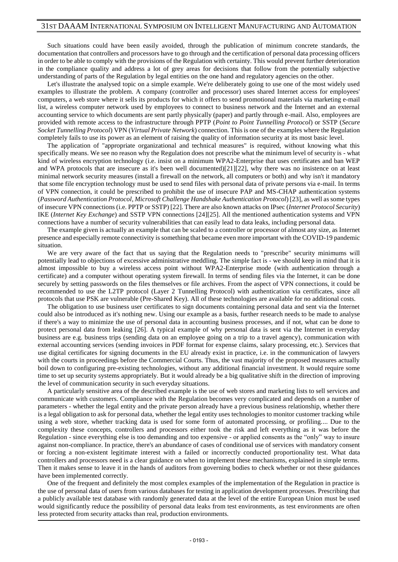Such situations could have been easily avoided, through the publication of minimum concrete standards, the documentation that controllers and processors have to go through and the certification of personal data processing officers in order to be able to comply with the provisions of the Regulation with certainty. This would prevent further deterioration in the compliance quality and address a lot of grey areas for decisions that follow from the potentially subjective understanding of parts of the Regulation by legal entities on the one hand and regulatory agencies on the other.

Let's illustrate the analysed topic on a simple example. We're deliberately going to use one of the most widely used examples to illustrate the problem. A company (controller and processor) uses shared Internet access for employees' computers, a web store where it sells its products for which it offers to send promotional materials via marketing e-mail list, a wireless computer network used by employees to connect to business network and the Internet and an external accounting service to which documents are sent partly physically (paper) and partly through e-mail. Also, employees are provided with remote access to the infrastructure through PPTP (*Point to Point Tunnelling Protocol*) or SSTP (*Secure Socket Tunnelling Protocol*) VPN (*Virtual Private Network*) connection. This is one of the examples where the Regulation completely fails to use its power as an element of raising the quality of information security at its most basic level.

The application of "appropriate organizational and technical measures" is required, without knowing what this specifically means. We see no reason why the Regulation does not prescribe what the minimum level of security is - what kind of wireless encryption technology (i.e. insist on a minimum WPA2-Enterprise that uses certificates and ban WEP and WPA protocols that are insecure as it's been well documented)[21][22], why there was no insistence on at least minimal network security measures (install a firewall on the network, all computers or both) and why isn't it mandatory that some file encryption technology must be used to send files with personal data of private persons via e-mail. In terms of VPN connection, it could be prescribed to prohibit the use of insecure PAP and MS-CHAP authentication systems (*Password Authentication Protocol*, *Microsoft Challenge Handshake Authentication Protocol*) [23], as well as some types of insecure VPN connections (i.e. PPTP or SSTP) [22]. There are also known attacks on IPsec (*Internet Protocol Security*) IKE (*Internet Key Exchange*) and SSTP VPN connections [24][25]. All the mentioned authentication systems and VPN connections have a number of security vulnerabilities that can easily lead to data leaks, including personal data.

The example given is actually an example that can be scaled to a controller or processor of almost any size, as Internet presence and especially remote connectivity is something that became even more important with the COVID-19 pandemic situation.

We are very aware of the fact that us saying that the Regulation needs to "prescribe" security minimums will potentially lead to objections of excessive administrative meddling. The simple fact is - we should keep in mind that it is almost impossible to buy a wireless access point without WPA2-Enterprise mode (with authentication through a certificate) and a computer without operating system firewall. In terms of sending files via the Internet, it can be done securely by setting passwords on the files themselves or file archives. From the aspect of VPN connections, it could be recommended to use the L2TP protocol (Layer 2 Tunnelling Protocol) with authentication via certificates, since all protocols that use PSK are vulnerable (Pre-Shared Key). All of these technologies are available for no additional costs.

The obligation to use business user certificates to sign documents containing personal data and sent via the Internet could also be introduced as it's nothing new. Using our example as a basis, further research needs to be made to analyse if there's a way to minimize the use of personal data in accounting business processes, and if not, what can be done to protect personal data from leaking [26]. A typical example of why personal data is sent via the Internet in everyday business are e.g. business trips (sending data on an employee going on a trip to a travel agency), communication with external accounting services (sending invoices in PDF format for expense claims, salary processing, etc.). Services that use digital certificates for signing documents in the EU already exist in practice, i.e. in the communication of lawyers with the courts in proceedings before the Commercial Courts. Thus, the vast majority of the proposed measures actually boil down to configuring pre-existing technologies, without any additional financial investment. It would require some time to set up security systems appropriately. But it would already be a big qualitative shift in the direction of improving the level of communication security in such everyday situations.

A particularly sensitive area of the described example is the use of web stores and marketing lists to sell services and communicate with customers. Compliance with the Regulation becomes very complicated and depends on a number of parameters - whether the legal entity and the private person already have a previous business relationship, whether there is a legal obligation to ask for personal data, whether the legal entity uses technologies to monitor customer tracking while using a web store, whether tracking data is used for some form of automated processing, or profiling.... Due to the complexity these concepts, controllers and processors either took the risk and left everything as it was before the Regulation - since everything else is too demanding and too expensive - or applied consents as the "only" way to insure against non-compliance. In practice, there's an abundance of cases of conditional use of services with mandatory consent or forcing a non-existent legitimate interest with a failed or incorrectly conducted proportionality test. What data controllers and processors need is a clear guidance on when to implement these mechanisms, explained in simple terms. Then it makes sense to leave it in the hands of auditors from governing bodies to check whether or not these guidances have been implemented correctly.

One of the frequent and definitely the most complex examples of the implementation of the Regulation in practice is the use of personal data of users from various databases for testing in application development processes. Prescribing that a publicly available test database with randomly generated data at the level of the entire European Union must be used would significantly reduce the possibility of personal data leaks from test environments, as test environments are often less protected from security attacks than real, production environments.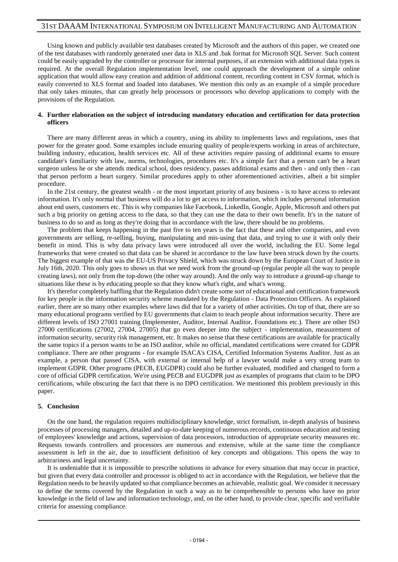Using known and publicly available test databases created by Microsoft and the authors of this paper, we created one of the test databases with randomly generated user data in XLS and .bak format for Microsoft SQL Server. Such content could be easily upgraded by the controller or processor for internal purposes, if an extension with additional data types is required. At the overall Regulation implementation level, one could approach the development of a simple online application that would allow easy creation and addition of additional content, recording content in CSV format, which is easily converted to XLS format and loaded into databases. We mention this only as an example of a simple procedure that only takes minutes, that can greatly help processors or processors who develop applications to comply with the provisions of the Regulation.

## **4. Further elaboration on the subject of introducing mandatory education and certification for data protection officers**

There are many different areas in which a country, using its ability to implements laws and regulations, uses that power for the greater good. Some examples include ensuring quality of people/experts working in areas of architecture, building industry, education, health services etc. All of these activities require passing of additional exams to ensure candidate's familiarity with law, norms, technologies, procedures etc. It's a simple fact that a person can't be a heart surgeon unless he or she attends medical school, does residency, passes additional exams and then - and only then - can that person perform a heart surgery. Similar procedures apply to other aforementioned activities, albeit a bit simpler procedure.

In the 21st century, the greatest wealth - or the most important priority of any business - is to have access to relevant information. It's only normal that business will do a lot to get access to information, which includes personal information about end users, customers etc. This is why companies like Facebook, LinkedIn, Google, Apple, Microsoft and others put such a big priority on getting access to the data, so that they can use the data to their own benefit. It's in the nature of business to do so and as long as they're doing that in accordance with the law, there should be no problems.

The problem that keeps happening in the past five to ten years is the fact that these and other companies, and even governments are selling, re-selling, buying, manipulating and mis-using that data, and trying to use it with only their benefit in mind. This is why data privacy laws were introduced all over the world, including the EU. Some legal frameworks that were created so that data can be shared in accordance to the law have been struck down by the courts. The biggest example of that was the EU-US Privacy Shield, which was struck down by the European Court of Justice in July 16th, 2020. This only goes to shows us that we need work from the ground-up (regular people all the way to people creating laws), not only from the top-down (the other way around). And the only way to introduce a ground-up change to situations like these is by educating people so that they know what's right, and what's wrong.

It's therefor completely baffling that the Regulation didn't create some sort of educational and certification framework for key people in the information security scheme mandated by the Regulation - Data Protection Officers. As explained earlier, there are so many other examples where laws did that for a variety of other activities. On top of that, there are so many educational programs verified by EU governments that claim to teach people about information security. There are different levels of ISO 27001 training (Implementer, Auditor, Internal Auditor, Foundations etc.). There are other ISO 27000 certifications (27002, 27004, 27005) that go even deeper into the subject - implementation, measurement of information security, security risk management, etc. It makes no sense that these certifications are available for practically the same topics if a person wants to be an ISO auditor, while no official, mandated certifications were created for GDPR compliance. There are other programs - for example ISACA's CISA, Certified Information Systems Auditor. Just as an example, a person that passed CISA, with external or internal help of a lawyer would make a very strong team to implement GDPR. Other programs (PECB, EUGDPR) could also be further evaluated, modified and changed to form a core of official GDPR certification. We're using PECB and EUGDPR just as examples of programs that claim to be DPO certifications, while obscuring the fact that there is no DPO certification. We mentioned this problem previously in this paper.

#### **5. Conclusion**

On the one hand, the regulation requires multidisciplinary knowledge, strict formalism, in-depth analysis of business processes of processing managers, detailed and up-to-date keeping of numerous records, continuous education and testing of employees' knowledge and actions, supervision of data processors, introduction of appropriate security measures etc. Requests towards controllers and processors are numerous and extensive, while at the same time the compliance assessment is left in the air, due to insufficient definition of key concepts and obligations. This opens the way to arbitrariness and legal uncertainty.

It is undeniable that it is impossible to prescribe solutions in advance for every situation that may occur in practice, but given that every data controller and processor is obliged to act in accordance with the Regulation, we believe that the Regulation needs to be heavily updated so that compliance becomes an achievable, realistic goal. We consider it necessary to define the terms covered by the Regulation in such a way as to be comprehensible to persons who have no prior knowledge in the field of law and information technology, and, on the other hand, to provide clear, specific and verifiable criteria for assessing compliance.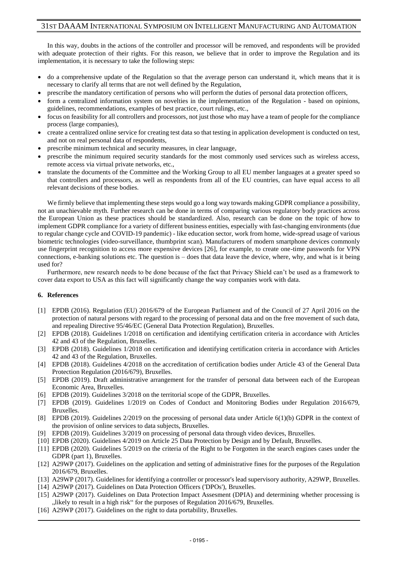In this way, doubts in the actions of the controller and processor will be removed, and respondents will be provided with adequate protection of their rights. For this reason, we believe that in order to improve the Regulation and its implementation, it is necessary to take the following steps:

- do a comprehensive update of the Regulation so that the average person can understand it, which means that it is necessary to clarify all terms that are not well defined by the Regulation,
- prescribe the mandatory certification of persons who will perform the duties of personal data protection officers,
- form a centralized information system on novelties in the implementation of the Regulation based on opinions, guidelines, recommendations, examples of best practice, court rulings, etc.,
- focus on feasibility for all controllers and processors, not just those who may have a team of people for the compliance process (large companies),
- create a centralized online service for creating test data so that testing in application development is conducted on test, and not on real personal data of respondents,
- prescribe minimum technical and security measures, in clear language,
- prescribe the minimum required security standards for the most commonly used services such as wireless access, remote access via virtual private networks, etc.,
- translate the documents of the Committee and the Working Group to all EU member languages at a greater speed so that controllers and processors, as well as respondents from all of the EU countries, can have equal access to all relevant decisions of these bodies.

We firmly believe that implementing these steps would go a long way towards making GDPR compliance a possibility, not an unachievable myth. Further research can be done in terms of comparing various regulatory body practices across the European Union as these practices should be standardized. Also, research can be done on the topic of how to implement GDPR compliance for a variety of different business entities, especially with fast-changing environments (due to regular change cycle and COVID-19 pandemic) - like education sector, work from home, wide-spread usage of various biometric technologies (video-surveillance, thumbprint scan). Manufacturers of modern smartphone devices commonly use fingerprint recognition to access more expensive devices [26], for example, to create one-time passwords for VPN connections, e-banking solutions etc. The question is – does that data leave the device, where, why, and what is it being used for?

Furthermore, new research needs to be done because of the fact that Privacy Shield can't be used as a framework to cover data export to USA as this fact will significantly change the way companies work with data.

#### **6. References**

- [1] EPDB (2016). Regulation (EU) 2016/679 of the European Parliament and of the Council of 27 April 2016 on the protection of natural persons with regard to the processing of personal data and on the free movement of such data, and repealing Directive 95/46/EC (General Data Protection Regulation), Bruxelles.
- [2] EPDB (2018). Guidelines 1/2018 on certification and identifying certification criteria in accordance with Articles 42 and 43 of the Regulation, Bruxelles.
- [3] EPDB (2018). Guidelines 1/2018 on certification and identifying certification criteria in accordance with Articles 42 and 43 of the Regulation, Bruxelles.
- [4] EPDB (2018). Guidelines 4/2018 on the accreditation of certification bodies under Article 43 of the General Data Protection Regulation (2016/679), Bruxelles.
- [5] EPDB (2019). Draft administrative arrangement for the transfer of personal data between each of the European Economic Area, Bruxelles.
- [6] EPDB (2019). Guidelines 3/2018 on the territorial scope of the GDPR, Bruxelles.
- [7] EPDB (2019). Guidelines 1/2019 on Codes of Conduct and Monitoring Bodies under Regulation 2016/679, Bruxelles.
- [8] EPDB (2019). Guidelines 2/2019 on the processing of personal data under Article 6(1)(b) GDPR in the context of the provision of online services to data subjects, Bruxelles.
- [9] EPDB (2019). Guidelines 3/2019 on processing of personal data through video devices, Bruxelles.
- [10] EPDB (2020). Guidelines 4/2019 on Article 25 Data Protection by Design and by Default, Bruxelles.
- [11] EPDB (2020). Guidelines 5/2019 on the criteria of the Right to be Forgotten in the search engines cases under the GDPR (part 1), Bruxelles.
- [12] A29WP (2017). Guidelines on the application and setting of administrative fines for the purposes of the Regulation 2016/679, Bruxelles.
- [13] A29WP (2017). Guidelines for identifying a controller or processor's lead supervisory authority, A29WP, Bruxelles.
- [14] A29WP (2017). Guidelines on Data Protection Officers ('DPOs'), Bruxelles.
- [15] A29WP (2017). Guidelines on Data Protection Impact Assesment (DPIA) and determining whether processing is "likely to result in a high risk" for the purposes of Regulation 2016/679, Bruxelles.
- [16] A29WP (2017). Guidelines on the right to data portability, Bruxelles.